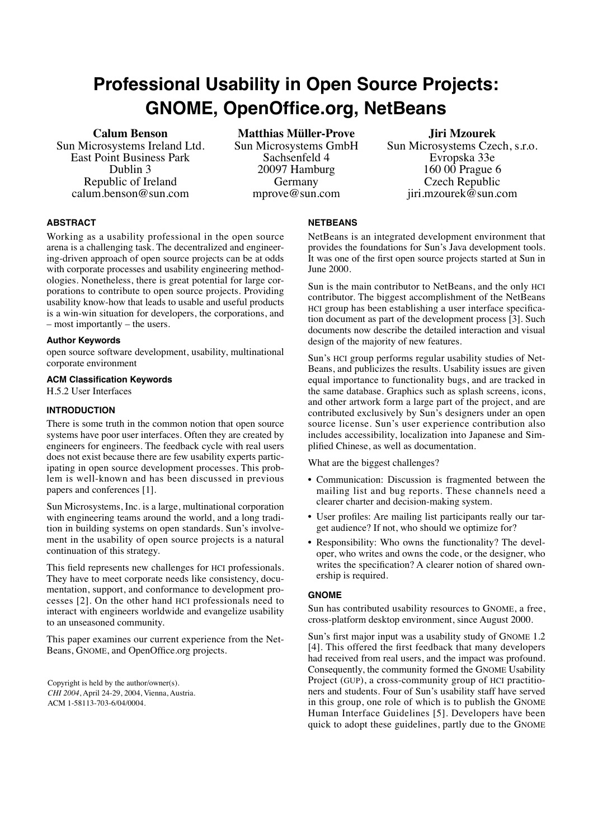# **Professional Usability in Open Source Projects: GNOME, OpenOffice.org, NetBeans**

# **Calum Benson**

Sun Microsystems Ireland Ltd. East Point Business Park Dublin 3 Republic of Ireland calum.benson@sun.com

**Matthias Müller-Prove** Sun Microsystems GmbH Sachsenfeld 4 20097 Hamburg Germany mprove@sun.com

## **Jiri Mzourek**

Sun Microsystems Czech, s.r.o. Evropska 33e 160 00 Prague 6 Czech Republic jiri.mzourek@sun.com

# **ABSTRACT**

Working as a usability professional in the open source arena is a challenging task. The decentralized and engineering-driven approach of open source projects can be at odds with corporate processes and usability engineering methodologies. Nonetheless, there is great potential for large corporations to contribute to open source projects. Providing usability know-how that leads to usable and useful products is a win-win situation for developers, the corporations, and – most importantly – the users.

## **Author Keywords**

open source software development, usability, multinational corporate environment

## **ACM Classification Keywords**

H.5.2 User Interfaces

# **INTRODUCTION**

There is some truth in the common notion that open source systems have poor user interfaces. Often they are created by engineers for engineers. The feedback cycle with real users does not exist because there are few usability experts participating in open source development processes. This problem is well-known and has been discussed in previous papers and conferences [\[1\]](#page-1-1).

Sun Microsystems, Inc. is a large, multinational corporation with engineering teams around the world, and a long tradition in building systems on open standards. Sun's involvement in the usability of open source projects is a natural continuation of this strategy.

This field represents new challenges for HCI professionals. They have to meet corporate needs like consistency, documentation, support, and conformance to development processes [\[2\]](#page-1-4). On the other hand HCI professionals need to interact with engineers worldwide and evangelize usability to an unseasoned community.

This paper examines our current experience from the Net-Beans, GNOME, and OpenOffice.org projects.

Copyright is held by the author/owner(s). *CHI 2004*, April 24-29, 2004, Vienna, Austria. ACM 1-58113-703-6/04/0004.

# **NETBEANS**

NetBeans is an integrated development environment that provides the foundations for Sun's Java development tools. It was one of the first open source projects started at Sun in June 2000.

Sun is the main contributor to NetBeans, and the only HCI contributor. The biggest accomplishment of the NetBeans HCI group has been establishing a user interface specification document as part of the development process [\[3\]](#page-1-3). Such documents now describe the detailed interaction and visual design of the majority of new features.

Sun's HCI group performs regular usability studies of Net-Beans, and publicizes the results. Usability issues are given equal importance to functionality bugs, and are tracked in the same database. Graphics such as splash screens, icons, and other artwork form a large part of the project, and are contributed exclusively by Sun's designers under an open source license. Sun's user experience contribution also includes accessibility, localization into Japanese and Simplified Chinese, as well as documentation.

What are the biggest challenges?

- Communication: Discussion is fragmented between the mailing list and bug reports. These channels need a clearer charter and decision-making system.
- User profiles: Are mailing list participants really our target audience? If not, who should we optimize for?
- Responsibility: Who owns the functionality? The developer, who writes and owns the code, or the designer, who writes the specification? A clearer notion of shared ownership is required.

## **GNOME**

Sun has contributed usability resources to GNOME, a free, cross-platform desktop environment, since August 2000.

Sun's first major input was a usability study of GNOME 1.2 [\[4\]](#page-1-0). This offered the first feedback that many developers had received from real users, and the impact was profound. Consequently, the community formed the GNOME Usability Project (GUP), a cross-community group of HCI practitioners and students. Four of Sun's usability staff have served in this group, one role of which is to publish the GNOME Human Interface Guidelines [\[5\]](#page-1-2). Developers have been quick to adopt these guidelines, partly due to the GNOME